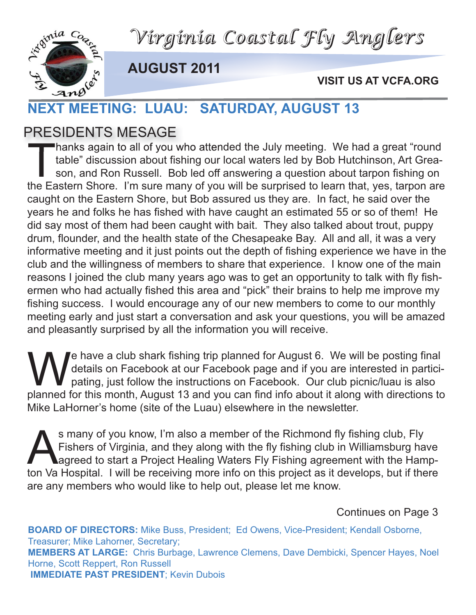*Virginia Coastal Fly Anglers*



**AUGUST 2011**

**VISIT US AT VCFA.ORG**

# VISIT US<br>
NEXT MEETING: LUAU: SATURDAY, AUGUST 13

#### PRESIDENTS MESAGE

Thanks again to all of you who attended the July meeting. We had a great "round<br>table" discussion about fishing our local waters led by Bob Hutchinson, Art Grea-<br>son, and Ron Russell. Bob led off answering a question about table" discussion about fishing our local waters led by Bob Hutchinson, Art Greason, and Ron Russell. Bob led off answering a question about tarpon fishing on the Eastern Shore. I'm sure many of you will be surprised to learn that, yes, tarpon are caught on the Eastern Shore, but Bob assured us they are. In fact, he said over the years he and folks he has fished with have caught an estimated 55 or so of them! He did say most of them had been caught with bait. They also talked about trout, puppy drum, flounder, and the health state of the Chesapeake Bay. All and all, it was a very informative meeting and it just points out the depth of fishing experience we have in the club and the willingness of members to share that experience. I know one of the main reasons I joined the club many years ago was to get an opportunity to talk with fly fishermen who had actually fished this area and "pick" their brains to help me improve my fishing success. I would encourage any of our new members to come to our monthly meeting early and just start a conversation and ask your questions, you will be amazed and pleasantly surprised by all the information you will receive.

We have a club shark fishing trip planned for August 6. We will be posting final<br>details on Facebook at our Facebook page and if you are interested in partici<br>pating, just follow the instructions on Facebook. Our club picn details on Facebook at our Facebook page and if you are interested in participating, just follow the instructions on Facebook. Our club picnic/luau is also planned for this month, August 13 and you can find info about it along with directions to Mike LaHorner's home (site of the Luau) elsewhere in the newsletter.

S many of you know, I'm also a member of the Richmond fly fishing club, Fly<br>Fishers of Virginia, and they along with the fly fishing club in Williamsburg had<br>agreed to start a Project Healing Waters Fly Fishing agreement w Fishers of Virginia, and they along with the fly fishing club in Williamsburg have agreed to start a Project Healing Waters Fly Fishing agreement with the Hampton Va Hospital. I will be receiving more info on this project as it develops, but if there are any members who would like to help out, please let me know.

Continues on Page 3

**BOARD OF DIRECTORS:** Mike Buss, President; Ed Owens, Vice-President; Kendall Osborne, Treasurer; Mike Lahorner, Secretary; **MEMBERS AT LARGE:** Chris Burbage, Lawrence Clemens, Dave Dembicki, Spencer Hayes, Noel Horne, Scott Reppert, Ron Russell **IMMEDIATE PAST PRESIDENT**; Kevin Dubois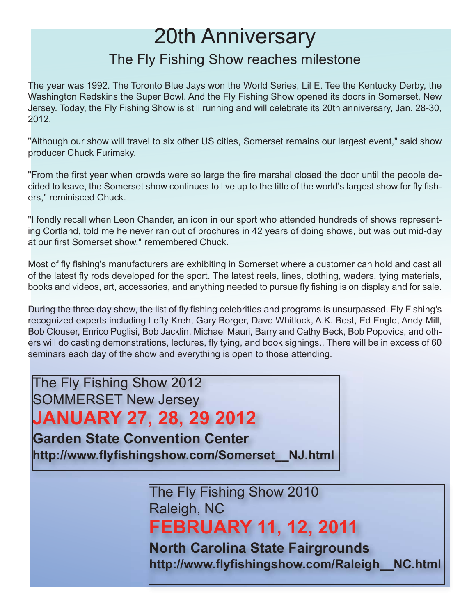### 20th Anniversary

#### The Fly Fishing Show reaches milestone

The year was 1992. The Toronto Blue Jays won the World Series, Lil E. Tee the Kentucky Derby, the Washington Redskins the Super Bowl. And the Fly Fishing Show opened its doors in Somerset, New Jersey. Today, the Fly Fishing Show is still running and will celebrate its 20th anniversary, Jan. 28-30, 2012.

"Although our show will travel to six other US cities, Somerset remains our largest event," said show producer Chuck Furimsky.

"From the first year when crowds were so large the fire marshal closed the door until the people decided to leave, the Somerset show continues to live up to the title of the world's largest show for fly fishers," reminisced Chuck.

"I fondly recall when Leon Chander, an icon in our sport who attended hundreds of shows representing Cortland, told me he never ran out of brochures in 42 years of doing shows, but was out mid-day at our first Somerset show," remembered Chuck.

Most of fly fishing's manufacturers are exhibiting in Somerset where a customer can hold and cast all of the latest fly rods developed for the sport. The latest reels, lines, clothing, waders, tying materials, books and videos, art, accessories, and anything needed to pursue fly fishing is on display and for sale.

During the three day show, the list of fly fishing celebrities and programs is unsurpassed. Fly Fishing's recognized experts including Lefty Kreh, Gary Borger, Dave Whitlock, A.K. Best, Ed Engle, Andy Mill, Bob Clouser, Enrico Puglisi, Bob Jacklin, Michael Mauri, Barry and Cathy Beck, Bob Popovics, and others will do casting demonstrations, lectures, fly tying, and book signings.. There will be in excess of 60 seminars each day of the show and everything is open to those attending.

The Fly Fishing Show 2012 SOMMERSET New Jersey

**JANUARY 27, 28, 29 2012**

**Garden State Convention Center http://www.flyfishingshow.com/Somerset\_\_NJ.html**

> The Fly Fishing Show 2010 Raleigh, NC **FEBRUARY 11, 12, 2011 North Carolina State Fairgrounds**

**http://www.flyfishingshow.com/Raleigh\_\_NC.html**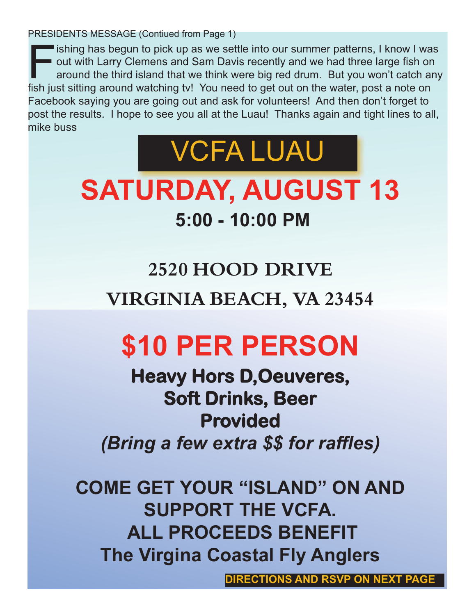PRESIDENTS MESSAGE (Contiued from Page 1)

Fishing has begun to pick up as we settle into our summer patterns, I know I was<br>out with Larry Clemens and Sam Davis recently and we had three large fish on<br>around the third island that we think were big red drum. But you out with Larry Clemens and Sam Davis recently and we had three large fish on around the third island that we think were big red drum. But you won't catch any fish just sitting around watching tv! You need to get out on the water, post a note on Facebook saying you are going out and ask for volunteers! And then don't forget to post the results. I hope to see you all at the Luau! Thanks again and tight lines to all, mike buss



## **SATURDAY, AUGUST 13 5:00 - 10:00 PM**

## **2520 HOOD DRIVE VIRGINIA BEACH, VA 23454**

## **\$10 PER PERSON**

**Heavy Hors D,Oeuveres, Soft Drinks, Beer Provided** *(Bring a few extra \$\$ for raffles)*

**COME GET YOUR "ISLAND" ON AND SUPPORT THE VCFA. ALL PROCEEDS BENEFIT The Virgina Coastal Fly Anglers**

**DIRECTIONS AND RSVP ON NEXT PAGE**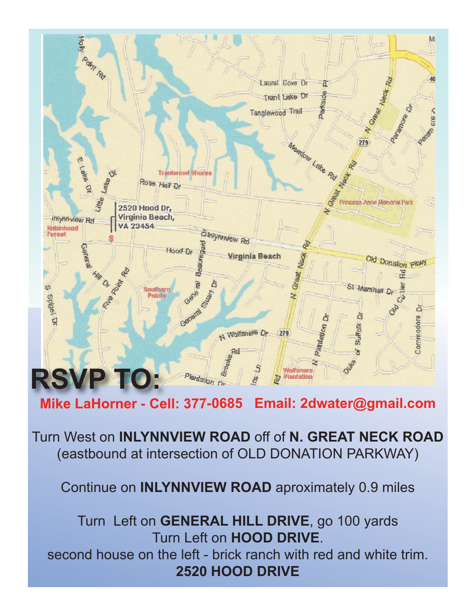

Turn West on **INLYNNVIEW ROAD** off of **N. GREAT NECK ROAD** (eastbound at intersection of OLD DONATION PARKWAY)

Continue on **INLYNNVIEW ROAD** aproximately 0.9 miles

Turn Left on **GENERAL HILL DRIVE**, go 100 yards Turn Left on **HOOD DRIVE**. second house on the left - brick ranch with red and white trim. **2520 HOOD DRIVE**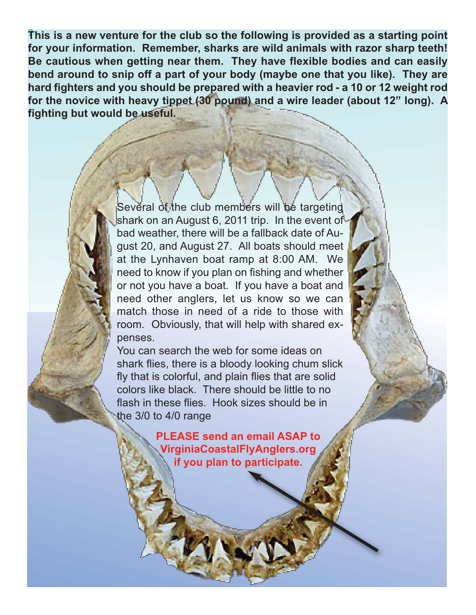7 **This is a new venture for the club so the following is provided as a starting point for your information. Remember, sharks are wild animals with razor sharp teeth! Be cautious when getting near them. They have flexible bodies and can easily bend around to snip off a part of your body (maybe one that you like). They are hard fighters and you should be prepared with a heavier rod - a 10 or 12 weight rod for the novice with heavy tippet (30 pound) and a wire leader (about 12" long). A fighting but would be useful.**

> Several of the club members will be targeting shark on an August 6, 2011 trip. In the event of bad weather, there will be a fallback date of August 20, and August 27. All boats should meet at the Lynhaven boat ramp at 8:00 AM. We need to know if you plan on fishing and whether or not you have a boat. If you have a boat and need other anglers, let us know so we can match those in need of a ride to those with room. Obviously, that will help with shared expenses.

> You can search the web for some ideas on shark flies, there is a bloody looking chum slick fly that is colorful, and plain flies that are solid colors like black. There should be little to no flash in these flies. Hook sizes should be in the 3/0 to 4/0 range

> > **PLEASE send an email ASAP to VirginiaCoastalFlyAnglers.org if you plan to participate.**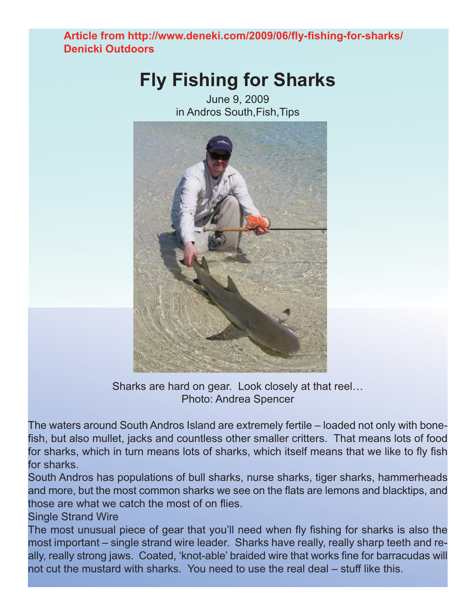**Article from http://www.deneki.com/2009/06/fly-fishing-for-sharks/ Denicki Outdoors**

#### **Fly Fishing for Sharks**

June 9, 2009 in Andros South,Fish,Tips



Sharks are hard on gear. Look closely at that reel... Photo: Andrea Spencer

The waters around South Andros Island are extremely fertile – loaded not only with bonefish, but also mullet, jacks and countless other smaller critters. That means lots of food for sharks, which in turn means lots of sharks, which itself means that we like to fly fish for sharks.

South Andros has populations of bull sharks, nurse sharks, tiger sharks, hammerheads and more, but the most common sharks we see on the flats are lemons and blacktips, and those are what we catch the most of on flies.

Single Strand Wire

The most unusual piece of gear that you'll need when fly fishing for sharks is also the most important – single strand wire leader. Sharks have really, really sharp teeth and really, really strong jaws. Coated, 'knot-able' braided wire that works fine for barracudas will not cut the mustard with sharks. You need to use the real deal – stuff like this.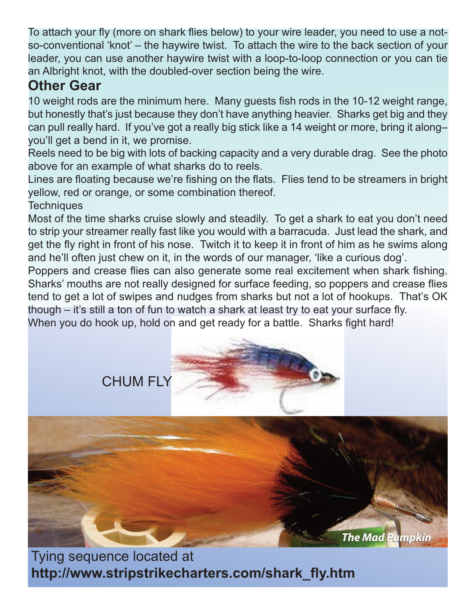To attach your fly (more on shark flies below) to your wire leader, you need to use a notso-conventional 'knot' – the haywire twist. To attach the wire to the back section of your leader, you can use another haywire twist with a loop-to-loop connection or you can tie an Albright knot, with the doubled-over section being the wire.

#### **Other Gear**

10 weight rods are the minimum here. Many guests fish rods in the 10-12 weight range, but honestly that's just because they don't have anything heavier. Sharks get big and they can pull really hard. If you've got a really big stick like a 14 weight or more, bring it along– you'll get a bend in it, we promise.

Reels need to be big with lots of backing capacity and a very durable drag. See the photo above for an example of what sharks do to reels.

Lines are floating because we're fishing on the flats. Flies tend to be streamers in bright yellow, red or orange, or some combination thereof.

**Techniques** 

Most of the time sharks cruise slowly and steadily. To get a shark to eat you don't need to strip your streamer really fast like you would with a barracuda. Just lead the shark, and get the fly right in front of his nose. Twitch it to keep it in front of him as he swims along and he'll often just chew on it, in the words of our manager, 'like a curious dog'.

Poppers and crease flies can also generate some real excitement when shark fishing. Sharks' mouths are not really designed for surface feeding, so poppers and crease flies tend to get a lot of swipes and nudges from sharks but not a lot of hookups. That's OK though – it's still a ton of fun to watch a shark at least try to eat your surface fly. When you do hook up, hold on and get ready for a battle. Sharks fight hard!



**The Mad Pumpkin** 

Tying sequence located at **http://www.stripstrikecharters.com/shark\_fly.htm**